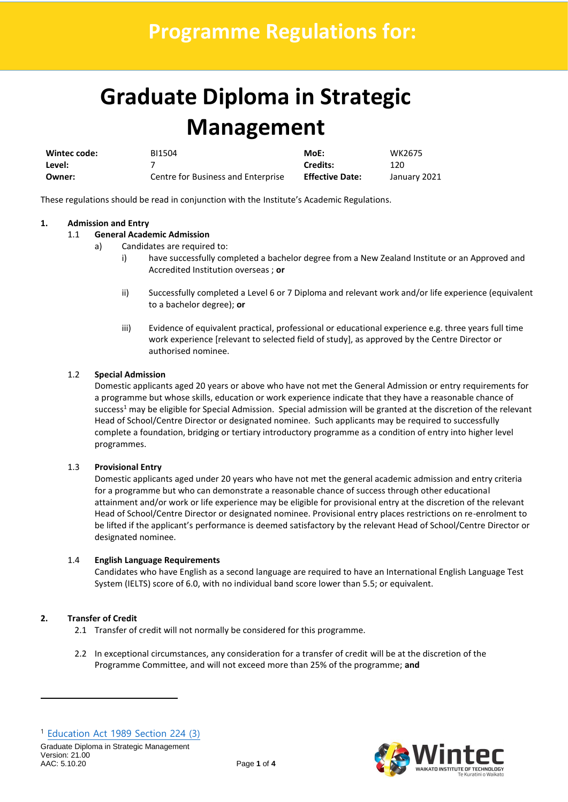# **Graduate Diploma in Strategic Management**

| Wintec code: | BI1504                             | MoE:                   | WK2675       |
|--------------|------------------------------------|------------------------|--------------|
| Level:       |                                    | Credits:               | 120          |
| Owner:       | Centre for Business and Enterprise | <b>Effective Date:</b> | January 2021 |

These regulations should be read in conjunction with the Institute's Academic Regulations.

# **1. Admission and Entry**

## 1.1 **General Academic Admission**

- a) Candidates are required to:
	- i) have successfully completed a bachelor degree from a New Zealand Institute or an Approved and Accredited Institution overseas ; **or**
	- ii) Successfully completed a Level 6 or 7 Diploma and relevant work and/or life experience (equivalent to a bachelor degree); **or**
	- iii) Evidence of equivalent practical, professional or educational experience e.g. three years full time work experience [relevant to selected field of study], as approved by the Centre Director or authorised nominee.

## 1.2 **Special Admission**

Domestic applicants aged 20 years or above who have not met the General Admission or entry requirements for a programme but whose skills, education or work experience indicate that they have a reasonable chance of success<sup>1</sup> may be eligible for Special Admission. Special admission will be granted at the discretion of the relevant Head of School/Centre Director or designated nominee. Such applicants may be required to successfully complete a foundation, bridging or tertiary introductory programme as a condition of entry into higher level programmes.

#### 1.3 **Provisional Entry**

Domestic applicants aged under 20 years who have not met the general academic admission and entry criteria for a programme but who can demonstrate a reasonable chance of success through other educational attainment and/or work or life experience may be eligible for provisional entry at the discretion of the relevant Head of School/Centre Director or designated nominee. Provisional entry places restrictions on re-enrolment to be lifted if the applicant's performance is deemed satisfactory by the relevant Head of School/Centre Director or designated nominee.

#### 1.4 **English Language Requirements**

Candidates who have English as a second language are required to have an International English Language Test System (IELTS) score of 6.0, with no individual band score lower than 5.5; or equivalent.

# **2. Transfer of Credit**

- 2.1 Transfer of credit will not normally be considered for this programme.
- 2.2 In exceptional circumstances, any consideration for a transfer of credit will be at the discretion of the Programme Committee, and will not exceed more than 25% of the programme; **and**

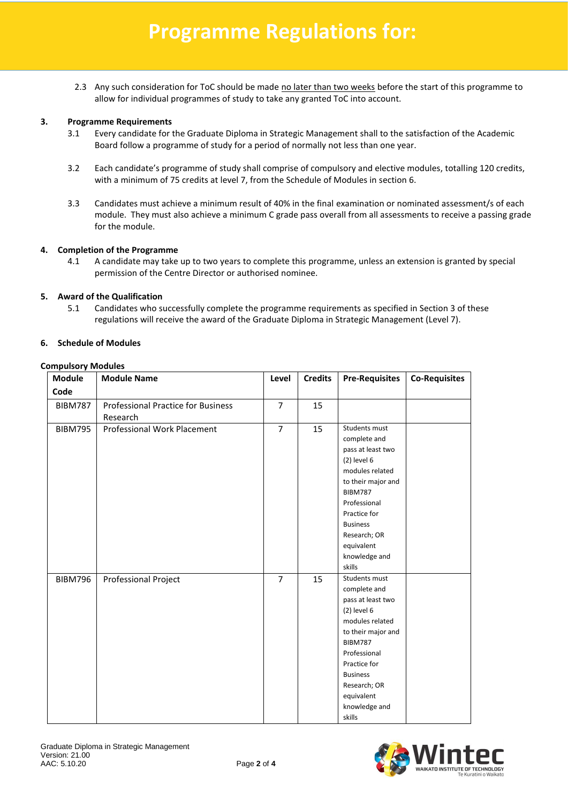2.3 Any such consideration for ToC should be made no later than two weeks before the start of this programme to allow for individual programmes of study to take any granted ToC into account.

#### **3. Programme Requirements**

- 3.1 Every candidate for the Graduate Diploma in Strategic Management shall to the satisfaction of the Academic Board follow a programme of study for a period of normally not less than one year.
- 3.2 Each candidate's programme of study shall comprise of compulsory and elective modules, totalling 120 credits, with a minimum of 75 credits at level 7, from the Schedule of Modules in section 6.
- 3.3 Candidates must achieve a minimum result of 40% in the final examination or nominated assessment/s of each module. They must also achieve a minimum C grade pass overall from all assessments to receive a passing grade for the module.

#### **4. Completion of the Programme**

4.1 A candidate may take up to two years to complete this programme, unless an extension is granted by special permission of the Centre Director or authorised nominee.

## **5. Award of the Qualification**

5.1 Candidates who successfully complete the programme requirements as specified in Section 3 of these regulations will receive the award of the Graduate Diploma in Strategic Management (Level 7).

#### **6. Schedule of Modules**

#### **Compulsory Modules**

| <b>Module</b>  | <b>Module Name</b>                        | Level          | <b>Credits</b> | <b>Pre-Requisites</b> | <b>Co-Requisites</b> |
|----------------|-------------------------------------------|----------------|----------------|-----------------------|----------------------|
| Code           |                                           |                |                |                       |                      |
| <b>BIBM787</b> | <b>Professional Practice for Business</b> | $\overline{7}$ | 15             |                       |                      |
|                | Research                                  |                |                |                       |                      |
| <b>BIBM795</b> | <b>Professional Work Placement</b>        | $\overline{7}$ | 15             | Students must         |                      |
|                |                                           |                |                | complete and          |                      |
|                |                                           |                |                | pass at least two     |                      |
|                |                                           |                |                | $(2)$ level $6$       |                      |
|                |                                           |                |                | modules related       |                      |
|                |                                           |                |                | to their major and    |                      |
|                |                                           |                |                | <b>BIBM787</b>        |                      |
|                |                                           |                |                | Professional          |                      |
|                |                                           |                |                | Practice for          |                      |
|                |                                           |                |                | <b>Business</b>       |                      |
|                |                                           |                |                | Research; OR          |                      |
|                |                                           |                |                | equivalent            |                      |
|                |                                           |                |                | knowledge and         |                      |
|                |                                           |                |                | skills                |                      |
| <b>BIBM796</b> | Professional Project                      | $\overline{7}$ | 15             | Students must         |                      |
|                |                                           |                |                | complete and          |                      |
|                |                                           |                |                | pass at least two     |                      |
|                |                                           |                |                | $(2)$ level $6$       |                      |
|                |                                           |                |                | modules related       |                      |
|                |                                           |                |                | to their major and    |                      |
|                |                                           |                |                | <b>BIBM787</b>        |                      |
|                |                                           |                |                | Professional          |                      |
|                |                                           |                |                | Practice for          |                      |
|                |                                           |                |                | <b>Business</b>       |                      |
|                |                                           |                |                | Research; OR          |                      |
|                |                                           |                |                | equivalent            |                      |
|                |                                           |                |                | knowledge and         |                      |
|                |                                           |                |                | skills                |                      |

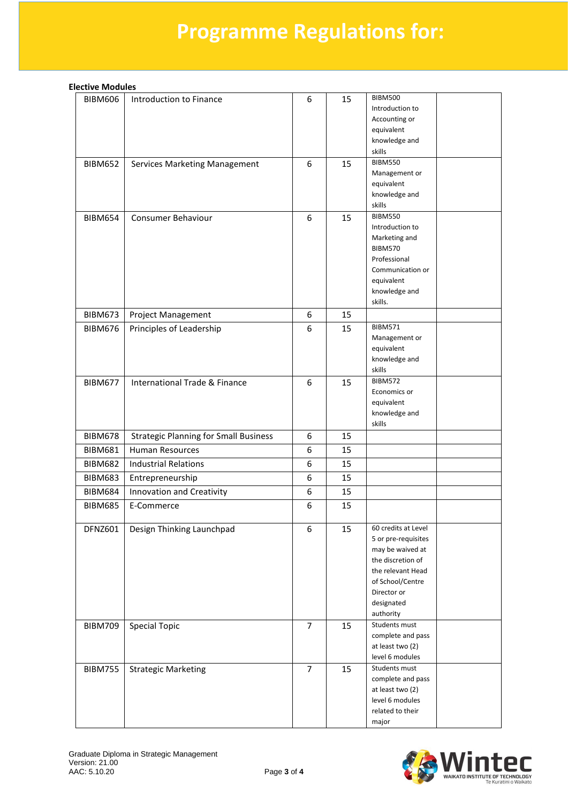# **Programme Regulations for:**

| <b>Elective Modules</b> |  |
|-------------------------|--|
|-------------------------|--|

| <b>BIBM606</b> | Introduction to Finance                      | 6              | 15 | <b>BIBM500</b><br>Introduction to<br>Accounting or<br>equivalent<br>knowledge and<br>skills                                                                            |
|----------------|----------------------------------------------|----------------|----|------------------------------------------------------------------------------------------------------------------------------------------------------------------------|
| <b>BIBM652</b> | Services Marketing Management                | 6              | 15 | <b>BIBM550</b><br>Management or<br>equivalent<br>knowledge and<br>skills                                                                                               |
| <b>BIBM654</b> | Consumer Behaviour                           | 6              | 15 | <b>BIBM550</b><br>Introduction to<br>Marketing and<br><b>BIBM570</b><br>Professional<br>Communication or<br>equivalent<br>knowledge and<br>skills.                     |
| <b>BIBM673</b> | <b>Project Management</b>                    | 6              | 15 |                                                                                                                                                                        |
| <b>BIBM676</b> | Principles of Leadership                     | 6              | 15 | <b>BIBM571</b><br>Management or<br>equivalent<br>knowledge and<br>skills                                                                                               |
| <b>BIBM677</b> | International Trade & Finance                | 6              | 15 | <b>BIBM572</b><br>Economics or<br>equivalent<br>knowledge and<br>skills                                                                                                |
| <b>BIBM678</b> | <b>Strategic Planning for Small Business</b> | 6              | 15 |                                                                                                                                                                        |
| <b>BIBM681</b> | <b>Human Resources</b>                       | 6              | 15 |                                                                                                                                                                        |
| <b>BIBM682</b> | <b>Industrial Relations</b>                  | 6              | 15 |                                                                                                                                                                        |
| <b>BIBM683</b> | Entrepreneurship                             | 6              | 15 |                                                                                                                                                                        |
| <b>BIBM684</b> | Innovation and Creativity                    | 6              | 15 |                                                                                                                                                                        |
| <b>BIBM685</b> | E-Commerce                                   | 6              | 15 |                                                                                                                                                                        |
| DFNZ601        | Design Thinking Launchpad                    | 6              | 15 | 60 credits at Level<br>5 or pre-requisites<br>may be waived at<br>the discretion of<br>the relevant Head<br>of School/Centre<br>Director or<br>designated<br>authority |
| <b>BIBM709</b> | <b>Special Topic</b>                         | 7              | 15 | Students must<br>complete and pass<br>at least two (2)<br>level 6 modules                                                                                              |
| <b>BIBM755</b> | <b>Strategic Marketing</b>                   | $\overline{7}$ | 15 | Students must<br>complete and pass<br>at least two (2)<br>level 6 modules<br>related to their<br>major                                                                 |